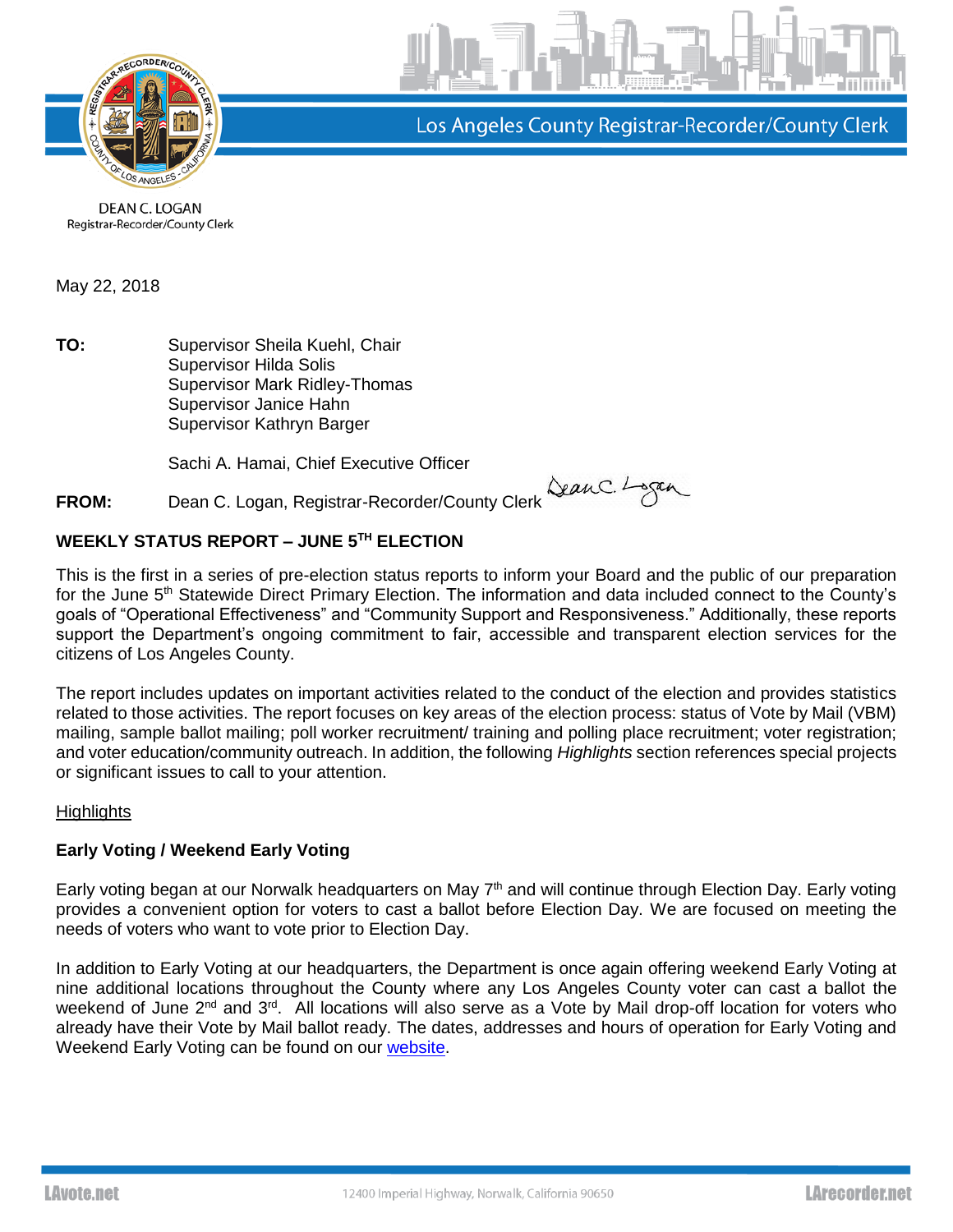

Los Angeles County Registrar-Recorder/County Clerk

DEAN C. LOGAN Registrar-Recorder/County Clerk

May 22, 2018

**TO:** Supervisor Sheila Kuehl, Chair Supervisor Hilda Solis Supervisor Mark Ridley-Thomas Supervisor Janice Hahn Supervisor Kathryn Barger

Sachi A. Hamai, Chief Executive Officer

**FROM:** Dean C. Logan, Registrar-Recorder/County Clerk SeanC. Lagan

# **WEEKLY STATUS REPORT – JUNE 5 TH ELECTION**

This is the first in a series of pre-election status reports to inform your Board and the public of our preparation for the June 5<sup>th</sup> Statewide Direct Primary Election. The information and data included connect to the County's goals of "Operational Effectiveness" and "Community Support and Responsiveness." Additionally, these reports support the Department's ongoing commitment to fair, accessible and transparent election services for the citizens of Los Angeles County.

The report includes updates on important activities related to the conduct of the election and provides statistics related to those activities. The report focuses on key areas of the election process: status of Vote by Mail (VBM) mailing, sample ballot mailing; poll worker recruitment/ training and polling place recruitment; voter registration; and voter education/community outreach. In addition, the following *Highlights* section references special projects or significant issues to call to your attention.

# **Highlights**

# **Early Voting / Weekend Early Voting**

Early voting began at our Norwalk headquarters on May 7<sup>th</sup> and will continue through Election Day. Early voting provides a convenient option for voters to cast a ballot before Election Day. We are focused on meeting the needs of voters who want to vote prior to Election Day.

In addition to Early Voting at our headquarters, the Department is once again offering weekend Early Voting at nine additional locations throughout the County where any Los Angeles County voter can cast a ballot the weekend of June 2<sup>nd</sup> and 3<sup>rd</sup>. All locations will also serve as a Vote by Mail drop-off location for voters who already have their Vote by Mail ballot ready. The dates, addresses and hours of operation for Early Voting and Weekend Early Voting can be found on our [website.](http://lavote.net/home/voting-elections/voting-options/early-voting/early-voting)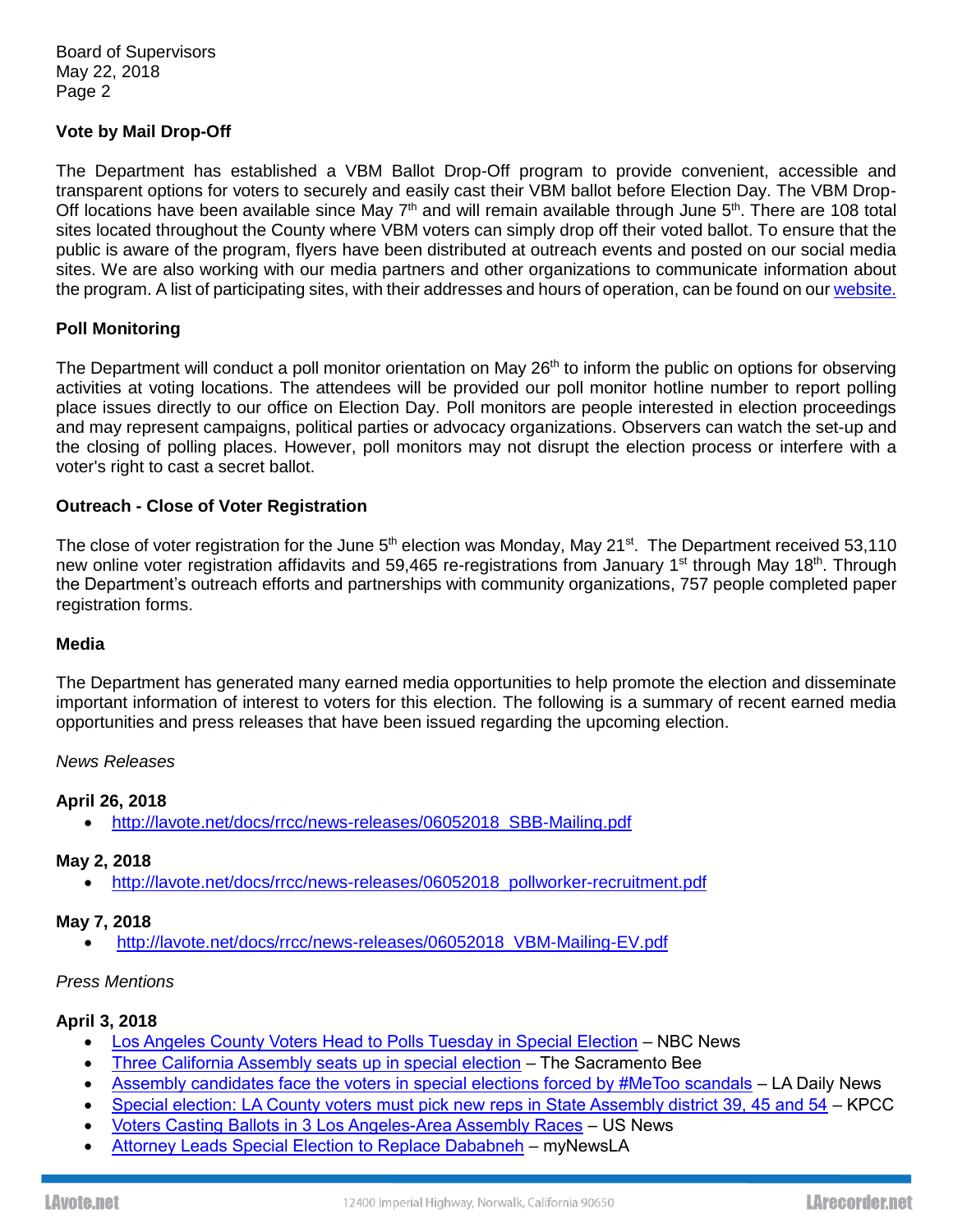Board of Supervisors May 22, 2018 Page 2

### **Vote by Mail Drop-Off**

The Department has established a VBM Ballot Drop-Off program to provide convenient, accessible and transparent options for voters to securely and easily cast their VBM ballot before Election Day. The VBM Drop-Off locations have been available since May  $7<sup>th</sup>$  and will remain available through June  $5<sup>th</sup>$ . There are 108 total sites located throughout the County where VBM voters can simply drop off their voted ballot. To ensure that the public is aware of the program, flyers have been distributed at outreach events and posted on our social media sites. We are also working with our media partners and other organizations to communicate information about the program. A list of participating sites, with their addresses and hours of operation, can be found on ou[r website.](http://lavote.net/home/voting-elections/voting-options/vote-by-mail/vbm-ballot-drop-off)

### **Poll Monitoring**

The Department will conduct a poll monitor orientation on May 26<sup>th</sup> to inform the public on options for observing activities at voting locations. The attendees will be provided our poll monitor hotline number to report polling place issues directly to our office on Election Day. Poll monitors are people interested in election proceedings and may represent campaigns, political parties or advocacy organizations. Observers can watch the set-up and the closing of polling places. However, poll monitors may not disrupt the election process or interfere with a voter's right to cast a secret ballot.

### **Outreach - Close of Voter Registration**

The close of voter registration for the June 5<sup>th</sup> election was Monday, May 21<sup>st</sup>. The Department received 53,110 new online voter registration affidavits and 59,465 re-registrations from January 1<sup>st</sup> through May 18<sup>th</sup>. Through the Department's outreach efforts and partnerships with community organizations, 757 people completed paper registration forms.

#### **Media**

The Department has generated many earned media opportunities to help promote the election and disseminate important information of interest to voters for this election. The following is a summary of recent earned media opportunities and press releases that have been issued regarding the upcoming election.

#### *News Releases*

#### **April 26, 2018**

• [http://lavote.net/docs/rrcc/news-releases/06052018\\_SBB-Mailing.pdf](http://lavote.net/docs/rrcc/news-releases/06052018_SBB-Mailing.pdf)

#### **May 2, 2018**

• [http://lavote.net/docs/rrcc/news-releases/06052018\\_pollworker-recruitment.pdf](http://lavote.net/docs/rrcc/news-releases/06052018_pollworker-recruitment.pdf)

#### **May 7, 2018**

• [http://lavote.net/docs/rrcc/news-releases/06052018\\_VBM-Mailing-EV.pdf](http://lavote.net/docs/rrcc/news-releases/06052018_VBM-Mailing-EV.pdf)

#### *Press Mentions*

# **April 3, 2018**

- [Los Angeles County Voters Head to Polls Tuesday in Special Election](https://www.nbclosangeles.com/news/local/Los-Angeles-County-Voters-Head-to-Polls-Tuesday-in-Special-Election-478599103.html) NBC News
- [Three California Assembly seats up in special election](http://www.sacbee.com/news/politics-government/capitol-alert/article207706189.html) The Sacramento Bee
- [Assembly candidates face the voters in special elections forced by #MeToo scandals](https://www.dailynews.com/2018/04/02/assembly-candidates-face-the-voters-in-special-elections-forced-by-metoo-scandals/) LA Daily News
- [Special election: LA County voters must pick new reps in State Assembly district 39, 45 and 54](https://www.scpr.org/news/2018/04/02/81945/for-voters-special-elections-a-chance-for-change-f/) KPCC
- [Voters Casting Ballots in 3 Los Angeles-Area Assembly Races](https://www.usnews.com/news/best-states/california/articles/2018-04-03/polls-open-for-3-los-angeles-area-special-assembly-elections) US News
- [Attorney Leads Special Election to Replace Dababneh](https://mynewsla.com/education/2018/04/03/attorney-leads-special-election-to-replace-dababneh/) myNewsLA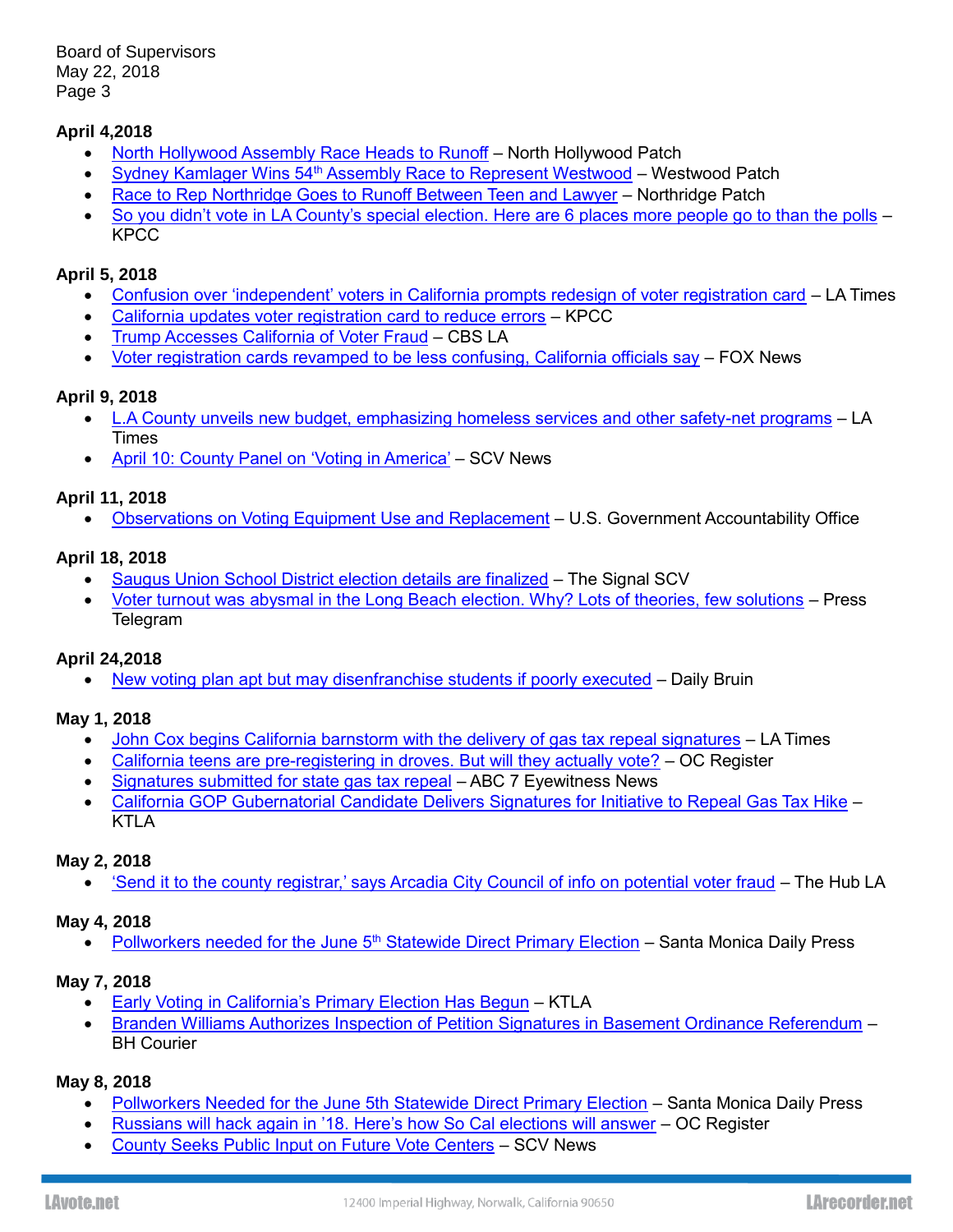Board of Supervisors May 22, 2018 Page 3

# **April 4,2018**

- [North Hollywood Assembly Race Heads to Runoff](https://patch.com/california/northhollywood/north-hollywood-assembly-race-heads-runoff) North Hollywood Patch
- Sydney Kamlager Wins 54<sup>th</sup> [Assembly Race to Represent Westwood](https://patch.com/california/centurycity/sydney-kamlager-wins-54th-assembly-race-represent-westwood) Westwood Patch
- [Race to Rep Northridge Goes to Runoff Between Teen and Lawyer](https://patch.com/california/northridge/race-rep-northridge-goes-runoff-between-teen-lawyer) Northridge Patch
- [So you didn't vote in LA County's special election. Here are 6 places more people go to than the polls](https://www.scpr.org/news/2018/04/04/82088/6-places-people-showed-up-to-more-than-the-polls-i/) KPCC

# **April 5, 2018**

- [Confusion over 'independent' voters in California prompts redesign of voter registration card](http://www.latimes.com/politics/la-pol-ca-american-independent-party-california-registration-card-20180405-story.html) LA Times
- [California updates voter registration card to reduce errors](https://www.scpr.org/news/2018/04/05/82108/california-updates-voter-registration-card-to-redu/) KPCC
- [Trump Accesses California of Voter Fraud](https://www.youtube.com/watch?v=6_fxf5IAK6g) CBS LA
- [Voter registration cards revamped to be less confusing, California officials say](http://www.foxnews.com/politics/2018/04/06/voter-registration-cards-revamped-to-be-less-confusing-california-officials-say.html) FOX News

# **April 9, 2018**

- [L.A County unveils new budget, emphasizing homeless services and other safety-net programs](http://www.latimes.com/local/lanow/la-me-ln-county-budget-20180409-story.html) LA Times
- [April 10: County Panel on 'Voting in America'](https://scvnews.com/2018/04/09/april-10-county-panel-on-voting-in-america-barriers-for-disabled-underprivileged/) SCV News

# **April 11, 2018**

• [Observations on Voting Equipment Use and Replacement](https://www.gao.gov/products/GAO-18-294) – U.S. Government Accountability Office

# **April 18, 2018**

- [Saugus Union School District election details are finalized](https://signalscv.com/2018/04/saugus-union-school-district-election-details-are-finalized/) The Signal SCV
- [Voter turnout was abysmal in the Long Beach election. Why? Lots of theories, few solutions](https://www.presstelegram.com/2018/04/18/voter-turnout-was-abysmal-in-the-long-beach-election-why-lots-of-theories-few-solutions/) Press Telegram

# **April 24,2018**

• [New voting plan apt but may disenfranchise students if poorly executed](https://dailybruin.com/2018/04/24/chris-busco-new-voting-plan-apt-but-may-disenfranchise-students-if-poorly-executed/) – Daily Bruin

# **May 1, 2018**

- [John Cox begins California barnstorm with the delivery of gas tax repeal signatures](http://www.latimes.com/politics/essential/la-pol-ca-essential-politics-updates-john-cox-begins-california-barnstorm-1525132480-htmlstory.html) LA Times
- [California teens are pre-registering in droves. But will they actually vote?](https://www.ocregister.com/2018/04/27/california-teens-are-pre-registering-in-droves-but-will-they-actually-vote/) OC Register
- [Signatures submitted for state gas tax repeal](http://abc7.com/automotive/signatures-submitted-for-state-gas-tax-repeal/3411405/) ABC 7 Eyewitness News
- [California GOP Gubernatorial Candidate Delivers Signatures for Initiative to Repeal Gas Tax Hike](http://ktla.com/2018/05/01/california-gop-gubernatorial-candidate-delivers-signatures-for-initiative-to-repeal-gas-tax-hike/) KTLA

# **May 2, 2018**

• ['Send it to the county registrar,' says Arcadia City Council of info on potential voter fraud](http://www.hub-la.com/news/send-it-to-the-county-registrar-says-arcadia-city-council-of-info-on-potential-voter-fraud/) – The Hub LA

# **May 4, 2018**

[Pollworkers needed for the June 5](http://smdp.com/pollworkers-needed-for-the-june-5th-statewide-direct-primary-election/165894)<sup>th</sup> Statewide Direct Primary Election - Santa Monica Daily Press

# **May 7, 2018**

- [Early Voting in California's Primary Election Has Begun](http://ktla.com/2018/05/07/early-voting-in-californias-primary-election-has-begun/) KTLA
- [Branden Williams Authorizes Inspection of Petition Signatures in Basement Ordinance Referendum](http://bhcourier.com/branden-williams-authorizes-inspection-of-petition-signatures-in-basement-ordinance-referendum/) BH Courier

# **May 8, 2018**

- [Pollworkers Needed for the June 5th Statewide Direct Primary Election](file:///C:/Users/e221953/AppData/Local/Microsoft/Windows/Temporary%20Internet%20Files/Content.Outlook/1UFS6GTZ/Pollworkers%20Needed%20for%20the%20June%205th%20Statewide%20Direct%20Primary%20Election) Santa Monica Daily Press
- [Russians will hack again in '18. Here's how So Cal elections will answer](https://www.ocregister.com/2018/05/08/russians-will-hack-again-in-18-heres-how-so-cal-elections-will-answer/) OC Register
- [County Seeks Public Input on Future Vote Centers](https://scvnews.com/2018/05/08/county-seeks-public-input-on-future-vote-centers/) SCV News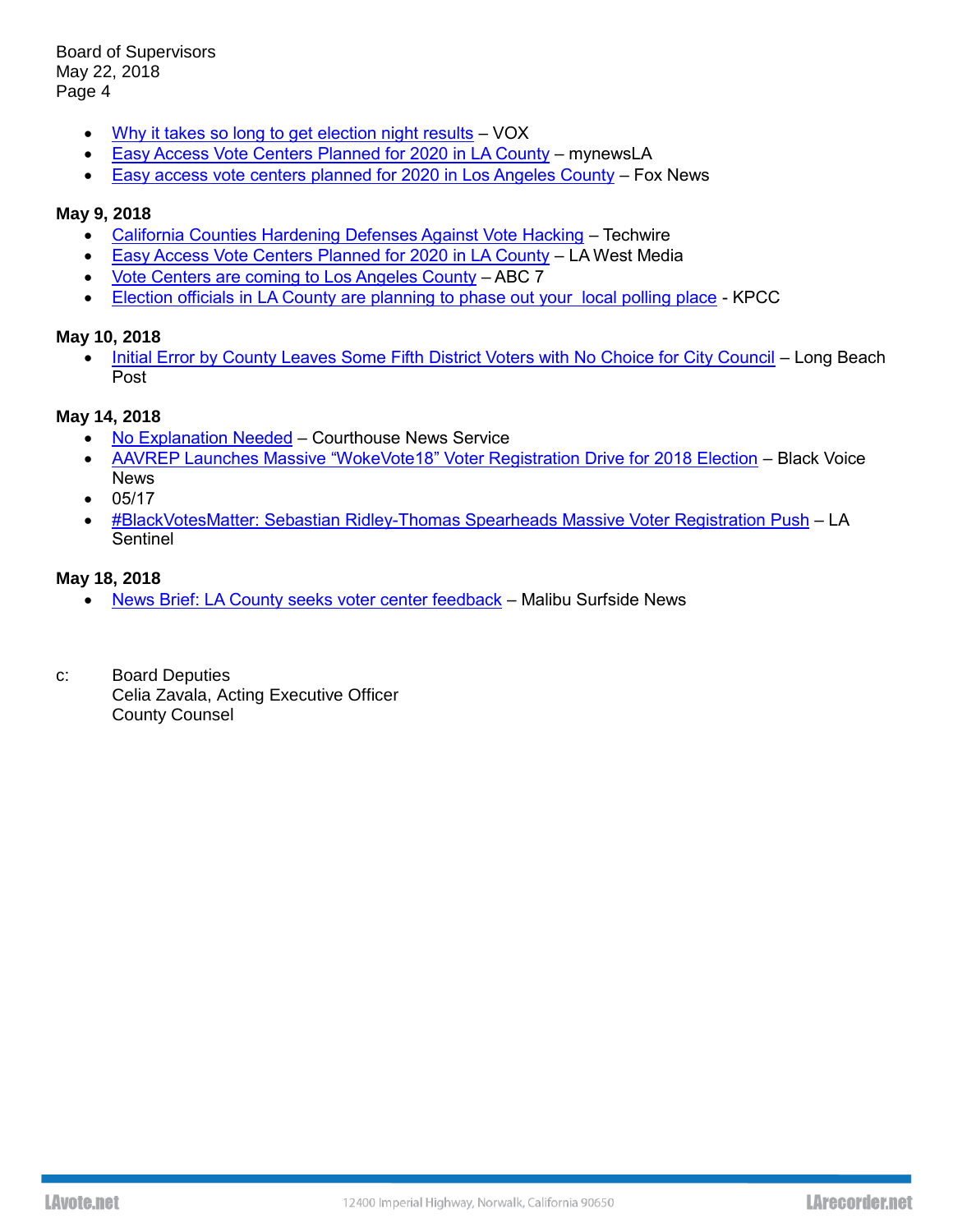Board of Supervisors May 22, 2018 Page 4

- [Why it takes so long to get election night results](https://www.vox.com/2018/5/8/17320758/primary-election-night-results-ohio-west-virginia-indiana-north-carolina) VOX
- [Easy Access Vote Centers Planned for 2020 in LA County](https://mynewsla.com/life/2018/05/08/easy-access-vote-centers-planned-for-2020-in-l-a-county/) mynewsLA
- [Easy access vote centers planned for 2020 in Los Angeles County](http://www.foxla.com/news/local-news/easy-access-vote-centers-planned-for-2020-in-los-angeles-county) Fox News

### **May 9, 2018**

- [California Counties Hardening Defenses Against Vote Hacking](https://www.techwire.net/news/ca-counties-hardening-defenses-against-vote-hacking.html) Techwire
- [Easy Access Vote Centers Planned for 2020 in LA County](https://lawestmedia.com/lawest/easy-access-vote-centers-planned-2020/) LA West Media
- [Vote Centers are coming to Los Angeles County](http://mms.tveyes.com/MediaView/?c3RhdGlvbj03ODUmU3RhcnREYXRlVGltZT0wNSUyZjA5JTJmMjAxOCsxNiUzYTMzJTNhMjEmRW5kRGF0ZVRpbWU9MDUlMmYwOSUyZjIwMTgrMTYlM2EzMyUzYTQ5JiYmZHVyYXRpb249MTgwODYwJnBhcnRuZXJpZD03MzEzJiZoaWdobGlnaHRyZWdleD0lNWNicmVnaXN0cmFyJTVjYiU3YyU1Y2Jsb3MrYW5nZWxlcyU1Y2IlN2MlNWNiQ291bnR5JTVjYiZtb2RlZGl0b3JlbmFibGU9dHJ1ZSZtb2RlZGl0b3JkZXN0aW5hdGlvbnM9NCYmZXhwaXJhdGlvbj0wNiUyZjA4JTJmMjAxOCsxNiUzYTMzJTNhMjEuMDAwJmluc3RhbnRQbGF5PVRydWUmc2lnbmF0dXJlPTViY2UxZDBlZjYxNWNmYzk3YTBhNzhmZDliMzgxNWFi) ABC 7
- [Election officials in LA County are planning to phase out your local polling place](http://mms.tveyes.com/MediaView/?c3RhdGlvbj02NDYwJlN0YXJ0RGF0ZVRpbWU9MDUlMmYwOSUyZjIwMTgrMTglM2EyMSUzYTQwJkVuZERhdGVUaW1lPTA1JTJmMDklMmYyMDE4KzE4JTNhMjIlM2EyOSYmJmR1cmF0aW9uPTMwMTQyMSZwYXJ0bmVyaWQ9NzMxMyYmaGlnaGxpZ2h0cmVnZXg9JTVjYnJlZ2lzdHJhciU1Y2IlN2MlNWNiTC5BLiU1Y2IlN2MlNWNiQ291bnR5JTVjYiZtb2RlZGl0b3JlbmFibGU9dHJ1ZSZtb2RlZGl0b3JkZXN0aW5hdGlvbnM9NCYmZXhwaXJhdGlvbj0wNiUyZjA4JTJmMjAxOCsxOCUzYTIxJTNhNDAuMDAwJmluc3RhbnRQbGF5PVRydWUmc2lnbmF0dXJlPThhM2Y1ODM4NTZkYzZiZTEwNGU0NTJiYTc5YTNjMTBh) KPCC

#### **May 10, 2018**

• [Initial Error by County Leaves Some Fifth District Voters with No Choice for City Council](https://lbpost.com/news/politics/initial-error-by-county-leaves-some-fifth-district-voters-with-no-choice-for-city-council/) - Long Beach Post

### **May 14, 2018**

- [No Explanation Needed](https://www.courthousenews.com/no-explanation-needed/) Courthouse News Service
- [AAVREP Launches Massive "WokeVote18" Voter Registration Drive for 2018 Election](http://www.blackvoicenews.com/2018/05/14/aavrep-launches-massive-wokevote18-voter-registration-drive-for-2018-election/) Black Voice News
- 05/17
- [#BlackVotesMatter: Sebastian Ridley-Thomas Spearheads Massive Voter Registration Push](https://lasentinel.net/blackvotesmatter-sebastian-ridley-thomas-spearheads-maassive-voter-registration-push.html) LA Sentinel

### **May 18, 2018**

- [News Brief: LA County seeks voter center feedback](http://www.malibusurfsidenews.com/news-local-government/news-briefs-la-county-seeks-voter-center-feedback) Malibu Surfside News
- c: Board Deputies Celia Zavala, Acting Executive Officer County Counsel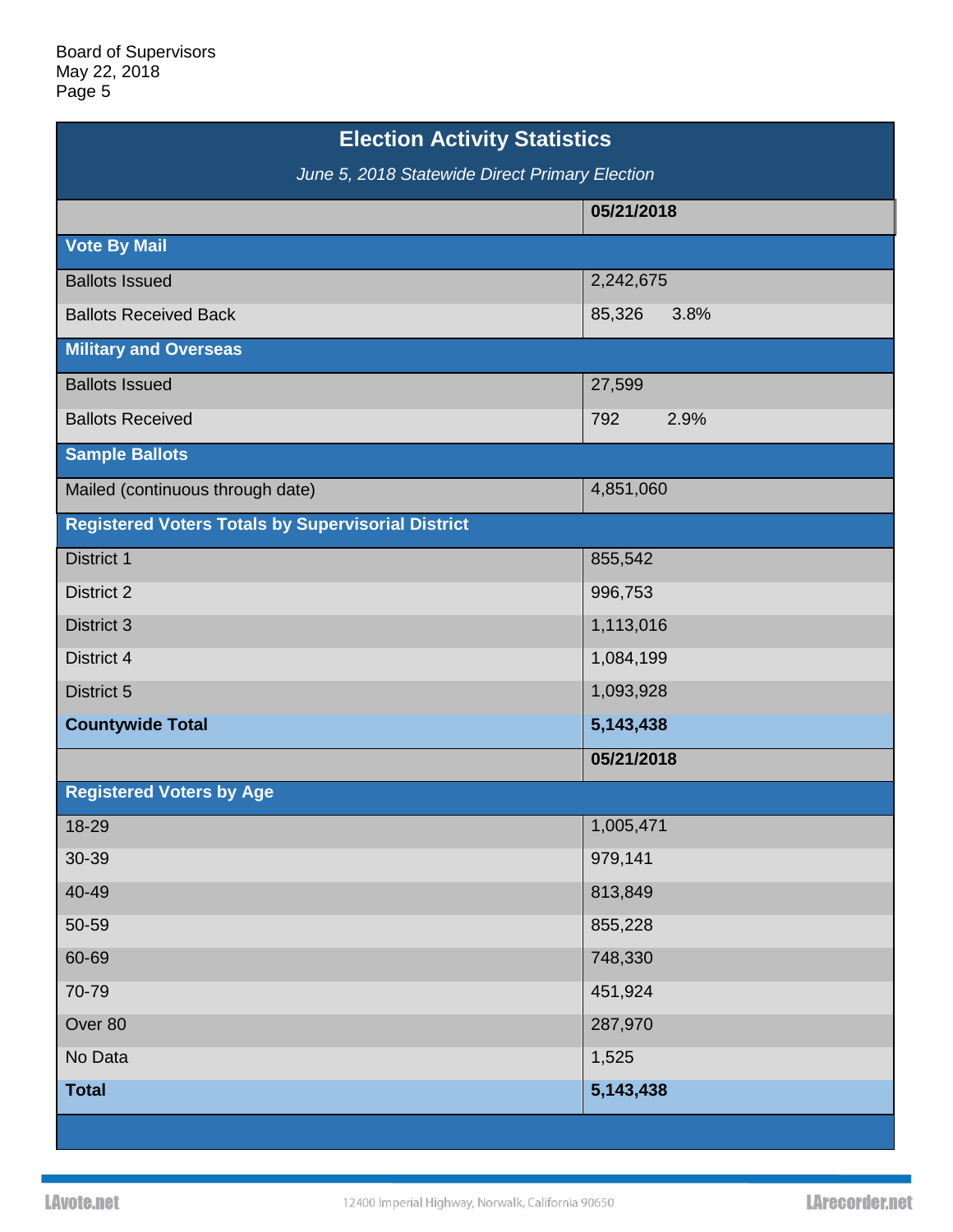| <b>Election Activity Statistics</b>                       |                |  |
|-----------------------------------------------------------|----------------|--|
| June 5, 2018 Statewide Direct Primary Election            |                |  |
|                                                           | 05/21/2018     |  |
| <b>Vote By Mail</b>                                       |                |  |
| <b>Ballots Issued</b>                                     | 2,242,675      |  |
| <b>Ballots Received Back</b>                              | 85,326<br>3.8% |  |
| <b>Military and Overseas</b>                              |                |  |
| <b>Ballots Issued</b>                                     | 27,599         |  |
| <b>Ballots Received</b>                                   | 2.9%<br>792    |  |
| <b>Sample Ballots</b>                                     |                |  |
| Mailed (continuous through date)                          | 4,851,060      |  |
| <b>Registered Voters Totals by Supervisorial District</b> |                |  |
| District 1                                                | 855,542        |  |
| <b>District 2</b>                                         | 996,753        |  |
| District 3                                                | 1,113,016      |  |
| District 4                                                | 1,084,199      |  |
| District 5                                                | 1,093,928      |  |
| <b>Countywide Total</b>                                   | 5,143,438      |  |
|                                                           | 05/21/2018     |  |
| <b>Registered Voters by Age</b>                           |                |  |
| 18-29                                                     | 1,005,471      |  |
| 30-39                                                     | 979,141        |  |
| 40-49                                                     | 813,849        |  |
| 50-59                                                     | 855,228        |  |
| 60-69                                                     | 748,330        |  |
| 70-79                                                     | 451,924        |  |
| Over 80                                                   | 287,970        |  |
| No Data                                                   | 1,525          |  |
| <b>Total</b>                                              | 5,143,438      |  |
|                                                           |                |  |